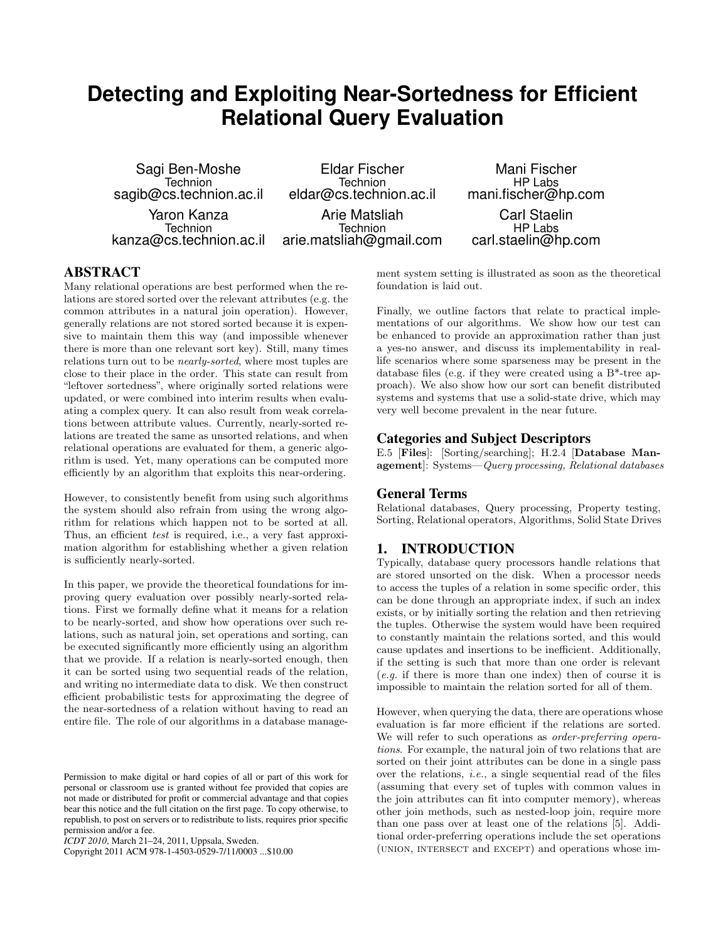# **Detecting and Exploiting Near-Sortedness for Efficient Relational Query Evaluation**

Sagi Ben-Moshe **Technion** sagib@cs.technion.ac.il

Yaron Kanza **Technion** kanza@cs.technion.ac.il

Eldar Fischer **Technion** eldar@cs.technion.ac.il

Arie Matsliah Technion arie.matsliah@gmail.com

Mani Fischer HP Labs mani.fischer@hp.com

Carl Staelin HP Labs carl.staelin@hp.com

# ABSTRACT

Many relational operations are best performed when the relations are stored sorted over the relevant attributes (e.g. the common attributes in a natural join operation). However, generally relations are not stored sorted because it is expensive to maintain them this way (and impossible whenever there is more than one relevant sort key). Still, many times relations turn out to be nearly-sorted, where most tuples are close to their place in the order. This state can result from "leftover sortedness", where originally sorted relations were updated, or were combined into interim results when evaluating a complex query. It can also result from weak correlations between attribute values. Currently, nearly-sorted relations are treated the same as unsorted relations, and when relational operations are evaluated for them, a generic algorithm is used. Yet, many operations can be computed more efficiently by an algorithm that exploits this near-ordering.

However, to consistently benefit from using such algorithms the system should also refrain from using the wrong algorithm for relations which happen not to be sorted at all. Thus, an efficient test is required, i.e., a very fast approximation algorithm for establishing whether a given relation is sufficiently nearly-sorted.

In this paper, we provide the theoretical foundations for improving query evaluation over possibly nearly-sorted relations. First we formally define what it means for a relation to be nearly-sorted, and show how operations over such relations, such as natural join, set operations and sorting, can be executed significantly more efficiently using an algorithm that we provide. If a relation is nearly-sorted enough, then it can be sorted using two sequential reads of the relation, and writing no intermediate data to disk. We then construct efficient probabilistic tests for approximating the degree of the near-sortedness of a relation without having to read an entire file. The role of our algorithms in a database manage-

Copyright 2011 ACM 978-1-4503-0529-7/11/0003 ...\$10.00

ment system setting is illustrated as soon as the theoretical foundation is laid out.

Finally, we outline factors that relate to practical implementations of our algorithms. We show how our test can be enhanced to provide an approximation rather than just a yes-no answer, and discuss its implementability in reallife scenarios where some sparseness may be present in the database files (e.g. if they were created using a B\*-tree approach). We also show how our sort can benefit distributed systems and systems that use a solid-state drive, which may very well become prevalent in the near future.

#### Categories and Subject Descriptors

E.5 [Files]: [Sorting/searching]; H.2.4 [Database Management]: Systems—Query processing, Relational databases

#### General Terms

Relational databases, Query processing, Property testing, Sorting, Relational operators, Algorithms, Solid State Drives

# 1. INTRODUCTION

Typically, database query processors handle relations that are stored unsorted on the disk. When a processor needs to access the tuples of a relation in some specific order, this can be done through an appropriate index, if such an index exists, or by initially sorting the relation and then retrieving the tuples. Otherwise the system would have been required to constantly maintain the relations sorted, and this would cause updates and insertions to be inefficient. Additionally, if the setting is such that more than one order is relevant (e.g. if there is more than one index) then of course it is impossible to maintain the relation sorted for all of them.

However, when querying the data, there are operations whose evaluation is far more efficient if the relations are sorted. We will refer to such operations as *order-preferring opera*tions. For example, the natural join of two relations that are sorted on their joint attributes can be done in a single pass over the relations, i.e., a single sequential read of the files (assuming that every set of tuples with common values in the join attributes can fit into computer memory), whereas other join methods, such as nested-loop join, require more than one pass over at least one of the relations [5]. Additional order-preferring operations include the set operations (union, intersect and except) and operations whose im-

Permission to make digital or hard copies of all or part of this work for personal or classroom use is granted without fee provided that copies are not made or distributed for profit or commercial advantage and that copies bear this notice and the full citation on the first page. To copy otherwise, to republish, to post on servers or to redistribute to lists, requires prior specific permission and/or a fee.

*ICDT 2010*, March 21–24, 2011, Uppsala, Sweden.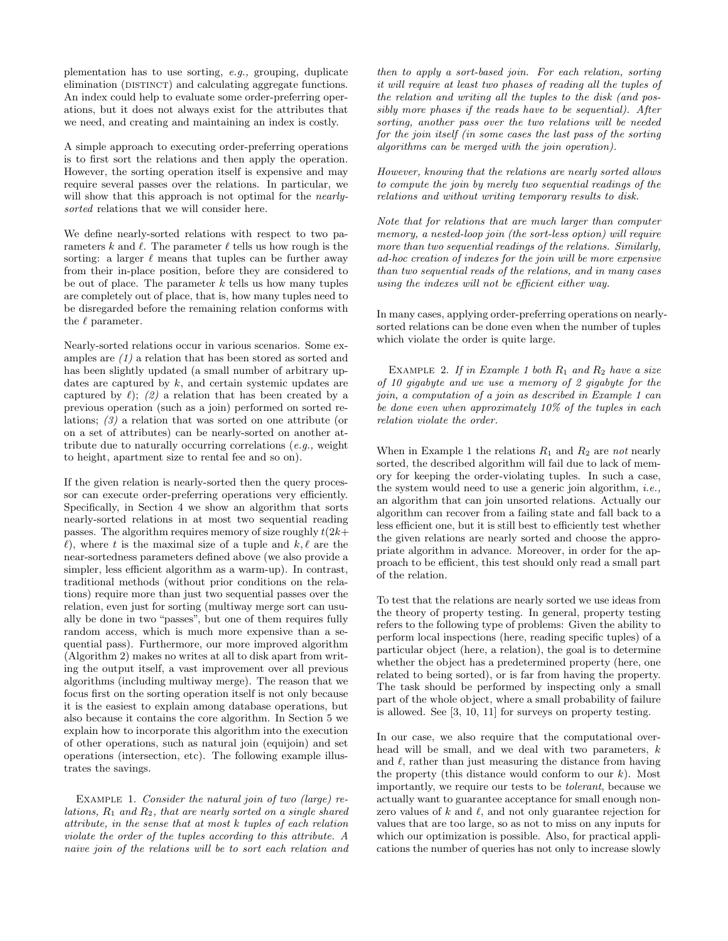plementation has to use sorting, e.g., grouping, duplicate elimination (DISTINCT) and calculating aggregate functions. An index could help to evaluate some order-preferring operations, but it does not always exist for the attributes that we need, and creating and maintaining an index is costly.

A simple approach to executing order-preferring operations is to first sort the relations and then apply the operation. However, the sorting operation itself is expensive and may require several passes over the relations. In particular, we will show that this approach is not optimal for the *nearly*sorted relations that we will consider here.

We define nearly-sorted relations with respect to two parameters k and  $\ell$ . The parameter  $\ell$  tells us how rough is the sorting: a larger  $\ell$  means that tuples can be further away from their in-place position, before they are considered to be out of place. The parameter  $k$  tells us how many tuples are completely out of place, that is, how many tuples need to be disregarded before the remaining relation conforms with the  $\ell$  parameter.

Nearly-sorted relations occur in various scenarios. Some examples are (1) a relation that has been stored as sorted and has been slightly updated (a small number of arbitrary updates are captured by k, and certain systemic updates are captured by  $\ell$ ); (2) a relation that has been created by a previous operation (such as a join) performed on sorted relations; (3) a relation that was sorted on one attribute (or on a set of attributes) can be nearly-sorted on another attribute due to naturally occurring correlations  $(e.g.,$  weight to height, apartment size to rental fee and so on).

If the given relation is nearly-sorted then the query processor can execute order-preferring operations very efficiently. Specifically, in Section 4 we show an algorithm that sorts nearly-sorted relations in at most two sequential reading passes. The algorithm requires memory of size roughly  $t(2k+$  $\ell$ ), where t is the maximal size of a tuple and  $k, \ell$  are the near-sortedness parameters defined above (we also provide a simpler, less efficient algorithm as a warm-up). In contrast, traditional methods (without prior conditions on the relations) require more than just two sequential passes over the relation, even just for sorting (multiway merge sort can usually be done in two "passes", but one of them requires fully random access, which is much more expensive than a sequential pass). Furthermore, our more improved algorithm (Algorithm 2) makes no writes at all to disk apart from writing the output itself, a vast improvement over all previous algorithms (including multiway merge). The reason that we focus first on the sorting operation itself is not only because it is the easiest to explain among database operations, but also because it contains the core algorithm. In Section 5 we explain how to incorporate this algorithm into the execution of other operations, such as natural join (equijoin) and set operations (intersection, etc). The following example illustrates the savings.

EXAMPLE 1. Consider the natural join of two (large) relations,  $R_1$  and  $R_2$ , that are nearly sorted on a single shared attribute, in the sense that at most k tuples of each relation violate the order of the tuples according to this attribute. A naive join of the relations will be to sort each relation and

then to apply a sort-based join. For each relation, sorting it will require at least two phases of reading all the tuples of the relation and writing all the tuples to the disk (and possibly more phases if the reads have to be sequential). After sorting, another pass over the two relations will be needed for the join itself (in some cases the last pass of the sorting algorithms can be merged with the join operation).

However, knowing that the relations are nearly sorted allows to compute the join by merely two sequential readings of the relations and without writing temporary results to disk.

Note that for relations that are much larger than computer memory, a nested-loop join (the sort-less option) will require more than two sequential readings of the relations. Similarly, ad-hoc creation of indexes for the join will be more expensive than two sequential reads of the relations, and in many cases using the indexes will not be efficient either way.

In many cases, applying order-preferring operations on nearlysorted relations can be done even when the number of tuples which violate the order is quite large.

EXAMPLE 2. If in Example 1 both  $R_1$  and  $R_2$  have a size of 10 gigabyte and we use a memory of 2 gigabyte for the join, a computation of a join as described in Example 1 can be done even when approximately 10% of the tuples in each relation violate the order.

When in Example 1 the relations  $R_1$  and  $R_2$  are not nearly sorted, the described algorithm will fail due to lack of memory for keeping the order-violating tuples. In such a case, the system would need to use a generic join algorithm, i.e., an algorithm that can join unsorted relations. Actually our algorithm can recover from a failing state and fall back to a less efficient one, but it is still best to efficiently test whether the given relations are nearly sorted and choose the appropriate algorithm in advance. Moreover, in order for the approach to be efficient, this test should only read a small part of the relation.

To test that the relations are nearly sorted we use ideas from the theory of property testing. In general, property testing refers to the following type of problems: Given the ability to perform local inspections (here, reading specific tuples) of a particular object (here, a relation), the goal is to determine whether the object has a predetermined property (here, one related to being sorted), or is far from having the property. The task should be performed by inspecting only a small part of the whole object, where a small probability of failure is allowed. See [3, 10, 11] for surveys on property testing.

In our case, we also require that the computational overhead will be small, and we deal with two parameters, k and  $\ell$ , rather than just measuring the distance from having the property (this distance would conform to our  $k$ ). Most importantly, we require our tests to be tolerant, because we actually want to guarantee acceptance for small enough nonzero values of  $k$  and  $\ell$ , and not only guarantee rejection for values that are too large, so as not to miss on any inputs for which our optimization is possible. Also, for practical applications the number of queries has not only to increase slowly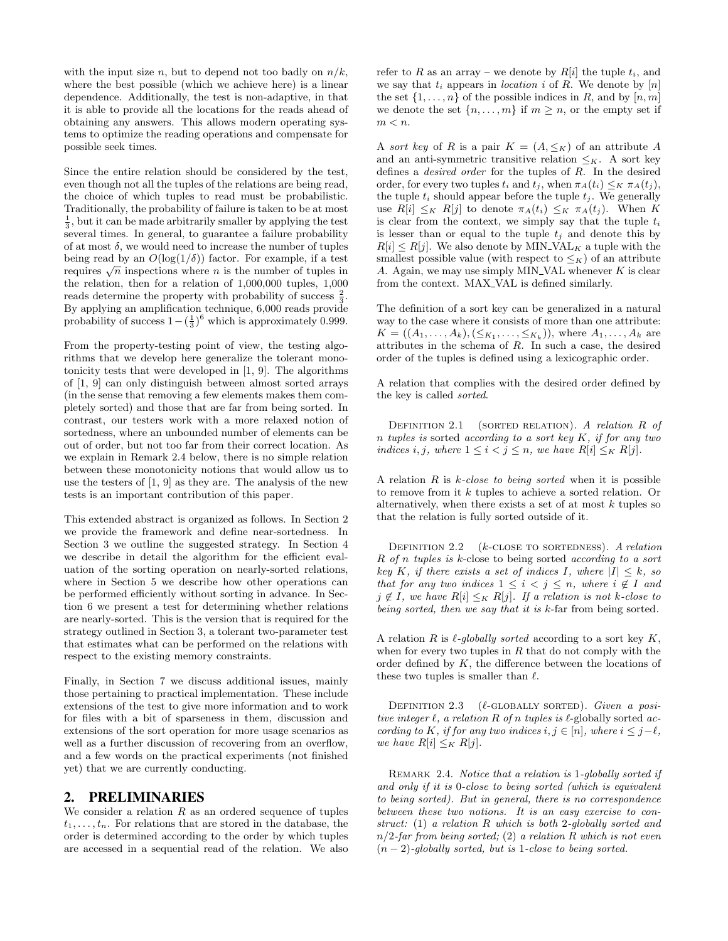with the input size n, but to depend not too badly on  $n/k$ , where the best possible (which we achieve here) is a linear dependence. Additionally, the test is non-adaptive, in that it is able to provide all the locations for the reads ahead of obtaining any answers. This allows modern operating systems to optimize the reading operations and compensate for possible seek times.

Since the entire relation should be considered by the test, even though not all the tuples of the relations are being read, the choice of which tuples to read must be probabilistic. Traditionally, the probability of failure is taken to be at most  $\frac{1}{3}$ , but it can be made arbitrarily smaller by applying the test several times. In general, to guarantee a failure probability of at most  $\delta$ , we would need to increase the number of tuples being read by an  $O(\log(1/\delta))$  factor. For example, if a test being read by an  $O(\log(1/\theta))$  ractor. For example, it a test<br>requires  $\sqrt{n}$  inspections where *n* is the number of tuples in the relation, then for a relation of 1,000,000 tuples, 1,000 reads determine the property with probability of success  $\frac{2}{3}$ . By applying an amplification technique, 6,000 reads provide probability of success  $1 - (\frac{1}{3})^6$  which is approximately 0.999.

From the property-testing point of view, the testing algorithms that we develop here generalize the tolerant monotonicity tests that were developed in [1, 9]. The algorithms of [1, 9] can only distinguish between almost sorted arrays (in the sense that removing a few elements makes them completely sorted) and those that are far from being sorted. In contrast, our testers work with a more relaxed notion of sortedness, where an unbounded number of elements can be out of order, but not too far from their correct location. As we explain in Remark 2.4 below, there is no simple relation between these monotonicity notions that would allow us to use the testers of [1, 9] as they are. The analysis of the new tests is an important contribution of this paper.

This extended abstract is organized as follows. In Section 2 we provide the framework and define near-sortedness. In Section 3 we outline the suggested strategy. In Section 4 we describe in detail the algorithm for the efficient evaluation of the sorting operation on nearly-sorted relations, where in Section 5 we describe how other operations can be performed efficiently without sorting in advance. In Section 6 we present a test for determining whether relations are nearly-sorted. This is the version that is required for the strategy outlined in Section 3, a tolerant two-parameter test that estimates what can be performed on the relations with respect to the existing memory constraints.

Finally, in Section 7 we discuss additional issues, mainly those pertaining to practical implementation. These include extensions of the test to give more information and to work for files with a bit of sparseness in them, discussion and extensions of the sort operation for more usage scenarios as well as a further discussion of recovering from an overflow, and a few words on the practical experiments (not finished yet) that we are currently conducting.

# 2. PRELIMINARIES

We consider a relation  $R$  as an ordered sequence of tuples  $t_1, \ldots, t_n$ . For relations that are stored in the database, the order is determined according to the order by which tuples are accessed in a sequential read of the relation. We also refer to R as an array – we denote by  $R[i]$  the tuple  $t_i$ , and we say that  $t_i$  appears in *location* i of R. We denote by [n] the set  $\{1, \ldots, n\}$  of the possible indices in R, and by  $[n, m]$ we denote the set  ${n, \ldots, m}$  if  $m > n$ , or the empty set if  $m < n$ .

A sort key of R is a pair  $K = (A, \leq_K)$  of an attribute A and an anti-symmetric transitive relation  $\leq_K$ . A sort key defines a desired order for the tuples of R. In the desired order, for every two tuples  $t_i$  and  $t_j$ , when  $\pi_A(t_i) \leq_K \pi_A(t_j)$ , the tuple  $t_i$  should appear before the tuple  $t_j$ . We generally use  $R[i] \leq_K R[j]$  to denote  $\pi_A(t_i) \leq_K \pi_A(t_j)$ . When K is clear from the context, we simply say that the tuple  $t_i$ is lesser than or equal to the tuple  $t_i$  and denote this by  $R[i] \leq R[j]$ . We also denote by MIN\_VAL<sub>K</sub> a tuple with the smallest possible value (with respect to  $\leq_K$ ) of an attribute A. Again, we may use simply MIN\_VAL whenever  $K$  is clear from the context. MAX\_VAL is defined similarly.

The definition of a sort key can be generalized in a natural way to the case where it consists of more than one attribute:  $K = ((A_1, \ldots, A_k), (\leq K_1, \ldots, \leq K_k)),$  where  $A_1, \ldots, A_k$  are attributes in the schema of R. In such a case, the desired order of the tuples is defined using a lexicographic order.

A relation that complies with the desired order defined by the key is called sorted.

DEFINITION 2.1 (SORTED RELATION). A relation  $R$  of  $n$  tuples is sorted according to a sort key  $K$ , if for any two indices i, j, where  $1 \leq i < j \leq n$ , we have  $R[i] \leq_K R[j]$ .

A relation  $R$  is  $k$ -close to being sorted when it is possible to remove from it k tuples to achieve a sorted relation. Or alternatively, when there exists a set of at most  $k$  tuples so that the relation is fully sorted outside of it.

DEFINITION  $2.2$  (*k*-CLOSE TO SORTEDNESS). A relation R of n tuples is k-close to being sorted according to a sort key K, if there exists a set of indices I, where  $|I| \leq k$ , so that for any two indices  $1 \leq i \leq j \leq n$ , where  $i \notin I$  and  $j \notin I$ , we have  $R[i] \leq_K R[j]$ . If a relation is not k-close to being sorted, then we say that it is k-far from being sorted.

A relation R is  $\ell$ -globally sorted according to a sort key K, when for every two tuples in  $R$  that do not comply with the order defined by  $K$ , the difference between the locations of these two tuples is smaller than  $\ell$ .

DEFINITION 2.3  $(\ell$ -GLOBALLY SORTED). Given a positive integer  $\ell$ , a relation R of n tuples is  $\ell$ -globally sorted according to K, if for any two indices  $i, j \in [n]$ , where  $i \leq j - \ell$ , we have  $R[i] \leq_K R[j]$ .

REMARK 2.4. Notice that a relation is 1-globally sorted if and only if it is 0-close to being sorted (which is equivalent to being sorted). But in general, there is no correspondence between these two notions. It is an easy exercise to construct: (1) a relation R which is both 2-globally sorted and  $n/2$ -far from being sorted; (2) a relation R which is not even  $(n-2)$ -globally sorted, but is 1-close to being sorted.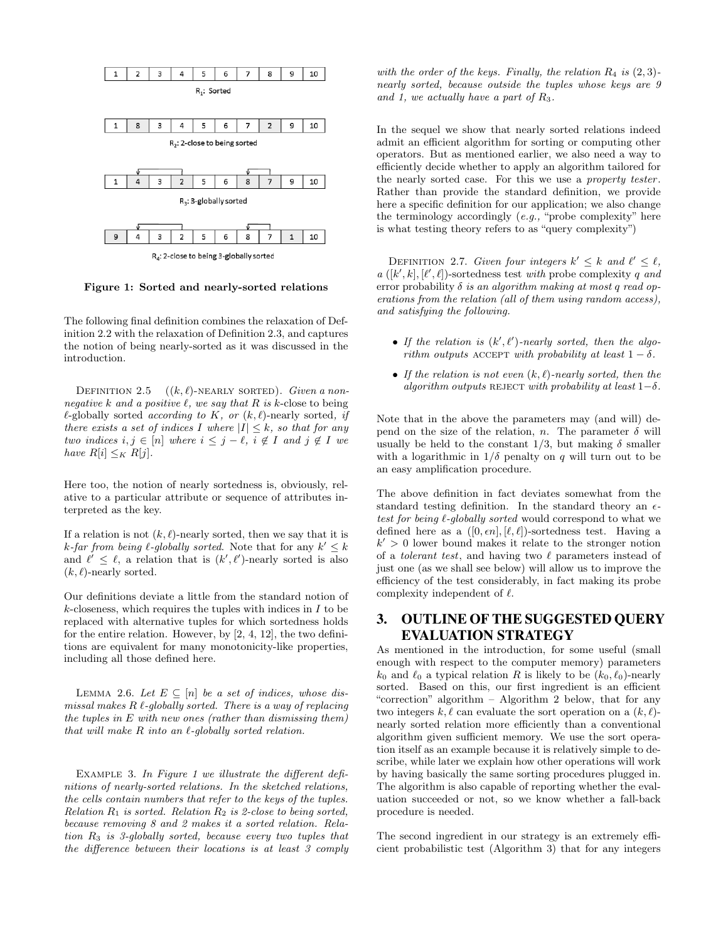

Figure 1: Sorted and nearly-sorted relations

The following final definition combines the relaxation of Definition 2.2 with the relaxation of Definition 2.3, and captures the notion of being nearly-sorted as it was discussed in the introduction.

DEFINITION 2.5  $((k, \ell)$ -NEARLY SORTED). Given a nonnegative k and a positive  $\ell$ , we say that R is k-close to being  $\ell$ -globally sorted according to K, or  $(k, \ell)$ -nearly sorted, if there exists a set of indices I where  $|I| \leq k$ , so that for any two indices  $i, j \in [n]$  where  $i \leq j - \ell$ ,  $i \notin I$  and  $j \notin I$  we have  $R[i] \leq_K R[j]$ .

Here too, the notion of nearly sortedness is, obviously, relative to a particular attribute or sequence of attributes interpreted as the key.

If a relation is not  $(k, \ell)$ -nearly sorted, then we say that it is k-far from being  $\ell$ -globally sorted. Note that for any  $k' \leq k$ and  $\ell' \leq \ell$ , a relation that is  $(k', \ell')$ -nearly sorted is also  $(k, \ell)$ -nearly sorted.

Our definitions deviate a little from the standard notion of  $k$ -closeness, which requires the tuples with indices in  $I$  to be replaced with alternative tuples for which sortedness holds for the entire relation. However, by [2, 4, 12], the two definitions are equivalent for many monotonicity-like properties, including all those defined here.

LEMMA 2.6. Let  $E \subseteq [n]$  be a set of indices, whose dismissal makes  $R \ell$ -globally sorted. There is a way of replacing the tuples in E with new ones (rather than dismissing them) that will make  $R$  into an  $\ell$ -globally sorted relation.

EXAMPLE 3. In Figure 1 we illustrate the different definitions of nearly-sorted relations. In the sketched relations, the cells contain numbers that refer to the keys of the tuples. Relation  $R_1$  is sorted. Relation  $R_2$  is 2-close to being sorted, because removing 8 and 2 makes it a sorted relation. Rela $tion R<sub>3</sub>$  is 3-globally sorted, because every two tuples that the difference between their locations is at least 3 comply with the order of the keys. Finally, the relation  $R_4$  is  $(2,3)$ nearly sorted, because outside the tuples whose keys are 9 and 1, we actually have a part of  $R_3$ .

In the sequel we show that nearly sorted relations indeed admit an efficient algorithm for sorting or computing other operators. But as mentioned earlier, we also need a way to efficiently decide whether to apply an algorithm tailored for the nearly sorted case. For this we use a *property tester*. Rather than provide the standard definition, we provide here a specific definition for our application; we also change the terminology accordingly (e.g., "probe complexity" here is what testing theory refers to as "query complexity")

DEFINITION 2.7. Given four integers  $k' \leq k$  and  $\ell' \leq \ell$ , a ( $[k', k], [\ell', \ell]$ )-sortedness test with probe complexity q and error probability  $\delta$  is an algorithm making at most q read operations from the relation (all of them using random access), and satisfying the following.

- If the relation is  $(k', \ell')$ -nearly sorted, then the algorithm outputs  $\Lambda$ CCEPT with probability at least  $1 - \delta$ .
- If the relation is not even  $(k, \ell)$ -nearly sorted, then the algorithm outputs REJECT with probability at least  $1-\delta$ .

Note that in the above the parameters may (and will) depend on the size of the relation, n. The parameter  $\delta$  will usually be held to the constant  $1/3$ , but making  $\delta$  smaller with a logarithmic in  $1/\delta$  penalty on q will turn out to be an easy amplification procedure.

The above definition in fact deviates somewhat from the standard testing definition. In the standard theory and  $\epsilon$ test for being  $\ell$ -globally sorted would correspond to what we defined here as a  $([0, \epsilon n], [\ell, \ell])$ -sortedness test. Having a  $k' > 0$  lower bound makes it relate to the stronger notion of a *tolerant test*, and having two  $\ell$  parameters instead of just one (as we shall see below) will allow us to improve the efficiency of the test considerably, in fact making its probe complexity independent of  $\ell$ .

# 3. OUTLINE OF THE SUGGESTED QUERY EVALUATION STRATEGY

As mentioned in the introduction, for some useful (small enough with respect to the computer memory) parameters  $k_0$  and  $\ell_0$  a typical relation R is likely to be  $(k_0, \ell_0)$ -nearly sorted. Based on this, our first ingredient is an efficient "correction" algorithm – Algorithm 2 below, that for any two integers k,  $\ell$  can evaluate the sort operation on a  $(k, \ell)$ nearly sorted relation more efficiently than a conventional algorithm given sufficient memory. We use the sort operation itself as an example because it is relatively simple to describe, while later we explain how other operations will work by having basically the same sorting procedures plugged in. The algorithm is also capable of reporting whether the evaluation succeeded or not, so we know whether a fall-back procedure is needed.

The second ingredient in our strategy is an extremely efficient probabilistic test (Algorithm 3) that for any integers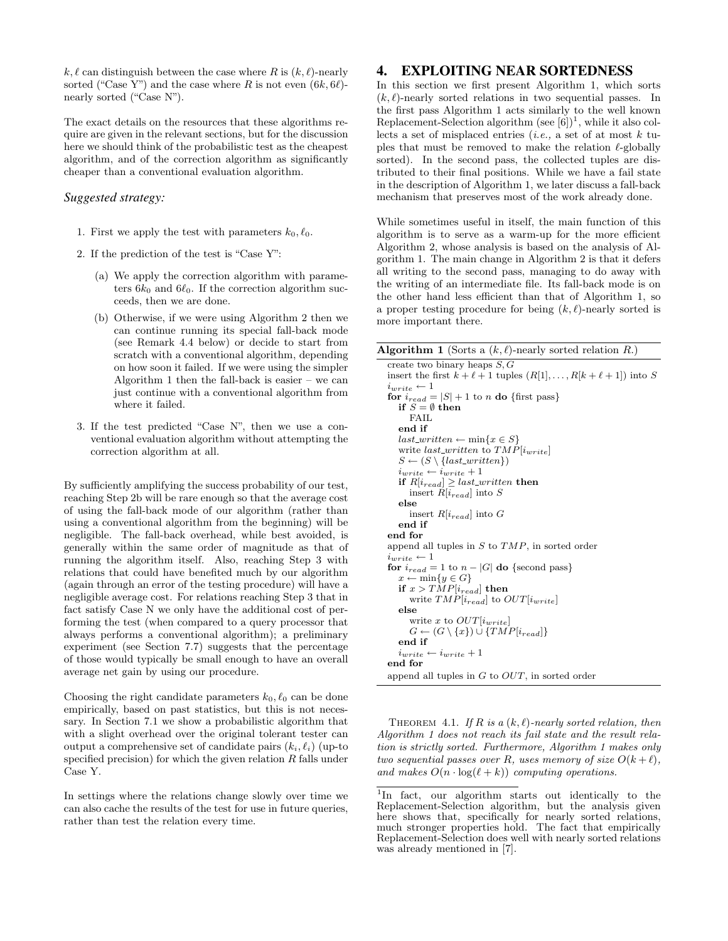k,  $\ell$  can distinguish between the case where R is  $(k, \ell)$ -nearly sorted ("Case Y") and the case where R is not even  $(6k, 6\ell)$ nearly sorted ("Case N").

The exact details on the resources that these algorithms require are given in the relevant sections, but for the discussion here we should think of the probabilistic test as the cheapest algorithm, and of the correction algorithm as significantly cheaper than a conventional evaluation algorithm.

#### *Suggested strategy:*

- 1. First we apply the test with parameters  $k_0, \ell_0$ .
- 2. If the prediction of the test is "Case Y":
	- (a) We apply the correction algorithm with parameters  $6k_0$  and  $6\ell_0$ . If the correction algorithm succeeds, then we are done.
	- (b) Otherwise, if we were using Algorithm 2 then we can continue running its special fall-back mode (see Remark 4.4 below) or decide to start from scratch with a conventional algorithm, depending on how soon it failed. If we were using the simpler Algorithm 1 then the fall-back is easier – we can just continue with a conventional algorithm from where it failed.
- 3. If the test predicted "Case N", then we use a conventional evaluation algorithm without attempting the correction algorithm at all.

By sufficiently amplifying the success probability of our test, reaching Step 2b will be rare enough so that the average cost of using the fall-back mode of our algorithm (rather than using a conventional algorithm from the beginning) will be negligible. The fall-back overhead, while best avoided, is generally within the same order of magnitude as that of running the algorithm itself. Also, reaching Step 3 with relations that could have benefited much by our algorithm (again through an error of the testing procedure) will have a negligible average cost. For relations reaching Step 3 that in fact satisfy Case N we only have the additional cost of performing the test (when compared to a query processor that always performs a conventional algorithm); a preliminary experiment (see Section 7.7) suggests that the percentage of those would typically be small enough to have an overall average net gain by using our procedure.

Choosing the right candidate parameters  $k_0, \ell_0$  can be done empirically, based on past statistics, but this is not necessary. In Section 7.1 we show a probabilistic algorithm that with a slight overhead over the original tolerant tester can output a comprehensive set of candidate pairs  $(k_i, \ell_i)$  (up-to specified precision) for which the given relation  $R$  falls under Case Y.

In settings where the relations change slowly over time we can also cache the results of the test for use in future queries, rather than test the relation every time.

#### 4. EXPLOITING NEAR SORTEDNESS

In this section we first present Algorithm 1, which sorts  $(k, \ell)$ -nearly sorted relations in two sequential passes. In the first pass Algorithm 1 acts similarly to the well known Replacement-Selection algorithm (see  $[6]$ )<sup>1</sup>, while it also collects a set of misplaced entries (*i.e.*, a set of at most  $k$  tuples that must be removed to make the relation  $\ell$ -globally sorted). In the second pass, the collected tuples are distributed to their final positions. While we have a fail state in the description of Algorithm 1, we later discuss a fall-back mechanism that preserves most of the work already done.

While sometimes useful in itself, the main function of this algorithm is to serve as a warm-up for the more efficient Algorithm 2, whose analysis is based on the analysis of Algorithm 1. The main change in Algorithm 2 is that it defers all writing to the second pass, managing to do away with the writing of an intermediate file. Its fall-back mode is on the other hand less efficient than that of Algorithm 1, so a proper testing procedure for being  $(k, \ell)$ -nearly sorted is more important there.

| <b>Algorithm 1</b> (Sorts a $(k, \ell)$ -nearly sorted relation R.)             |
|---------------------------------------------------------------------------------|
| create two binary heaps $S, G$                                                  |
| insert the first $k + \ell + 1$ tuples $(R[1], \ldots, R[k + \ell + 1])$ into S |

 $i_{write} \leftarrow 1$ for  $i_{read} = |S| + 1$  to n do {first pass} if  $S = \emptyset$  then FAIL end if  $last\_written \leftarrow min\{x \in S\}$ write last\_written to  $TMP[i_{write}]$  $S \leftarrow (S \setminus \{last\_written\})$  $i_{write} \leftarrow i_{write} + 1$ if  $R[i_{read}] \geq last\_written$  then insert  $R[i_{read}]$  into S else insert  $R[i_{read}]$  into G end if end for append all tuples in  $S$  to  $TMP$ , in sorted order  $i_{write} \leftarrow 1$ for  $i_{read} = 1$  to  $n - |G|$  do {second pass}  $x \leftarrow \min\{y \in G\}$ if  $x > TMP[i_{read}]$  then write  $TMP[i_{read}]$  to  $OUT[i_{write}]$ else write  $x$  to  $OUT[i_{write}]$  $G \leftarrow (G \setminus \{x\}) \cup \{TMP[i_{read}]\}$ end if  $i_{write} \leftarrow i_{write} + 1$ end for append all tuples in  $G$  to  $OUT$ , in sorted order

THEOREM 4.1. If R is a  $(k, \ell)$ -nearly sorted relation, then Algorithm 1 does not reach its fail state and the result relation is strictly sorted. Furthermore, Algorithm 1 makes only two sequential passes over R, uses memory of size  $O(k + \ell)$ , and makes  $O(n \cdot \log(\ell + k))$  computing operations.

<sup>&</sup>lt;sup>1</sup>In fact, our algorithm starts out identically to the Replacement-Selection algorithm, but the analysis given here shows that, specifically for nearly sorted relations, much stronger properties hold. The fact that empirically Replacement-Selection does well with nearly sorted relations was already mentioned in [7].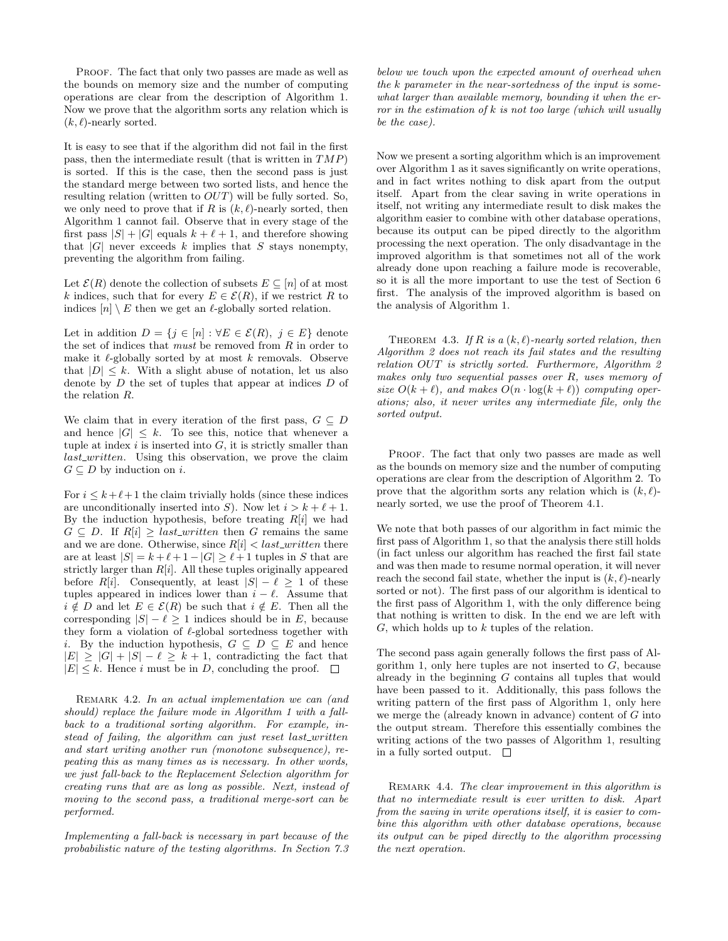PROOF. The fact that only two passes are made as well as the bounds on memory size and the number of computing operations are clear from the description of Algorithm 1. Now we prove that the algorithm sorts any relation which is  $(k, \ell)$ -nearly sorted.

It is easy to see that if the algorithm did not fail in the first pass, then the intermediate result (that is written in  $TMP$ ) is sorted. If this is the case, then the second pass is just the standard merge between two sorted lists, and hence the resulting relation (written to  $OUT$ ) will be fully sorted. So, we only need to prove that if R is  $(k, \ell)$ -nearly sorted, then Algorithm 1 cannot fail. Observe that in every stage of the first pass  $|S| + |G|$  equals  $k + \ell + 1$ , and therefore showing that  $|G|$  never exceeds k implies that S stays nonempty, preventing the algorithm from failing.

Let  $\mathcal{E}(R)$  denote the collection of subsets  $E \subseteq [n]$  of at most k indices, such that for every  $E \in \mathcal{E}(R)$ , if we restrict R to indices  $[n] \setminus E$  then we get an  $\ell$ -globally sorted relation.

Let in addition  $D = \{j \in [n] : \forall E \in \mathcal{E}(R), j \in E\}$  denote the set of indices that *must* be removed from  $R$  in order to make it  $\ell$ -globally sorted by at most k removals. Observe that  $|D| \leq k$ . With a slight abuse of notation, let us also denote by  $D$  the set of tuples that appear at indices  $D$  of the relation R.

We claim that in every iteration of the first pass,  $G \subseteq D$ and hence  $|G| \leq k$ . To see this, notice that whenever a tuple at index  $i$  is inserted into  $G$ , it is strictly smaller than last\_written. Using this observation, we prove the claim  $G \subseteq D$  by induction on *i*.

For  $i \leq k+\ell+1$  the claim trivially holds (since these indices are unconditionally inserted into S). Now let  $i > k + \ell + 1$ . By the induction hypothesis, before treating  $R[i]$  we had  $G \subseteq D$ . If  $R[i] \geq last\_written$  then G remains the same and we are done. Otherwise, since  $R[i] < last\_written$  there are at least  $|S| = k + \ell + 1 - |G| \ge \ell + 1$  tuples in S that are strictly larger than  $R[i]$ . All these tuples originally appeared before R[i]. Consequently, at least  $|S| - \ell \geq 1$  of these tuples appeared in indices lower than  $i - \ell$ . Assume that  $i \notin D$  and let  $E \in \mathcal{E}(R)$  be such that  $i \notin E$ . Then all the corresponding  $|S| - \ell \ge 1$  indices should be in E, because they form a violation of  $\ell$ -global sortedness together with i. By the induction hypothesis,  $G \subseteq D \subseteq E$  and hence  $|E| \geq |G| + |S| - \ell \geq k + 1$ , contradicting the fact that  $|E| \leq k$ . Hence *i* must be in *D*, concluding the proof.  $\square$ 

REMARK 4.2. In an actual implementation we can (and should) replace the failure mode in Algorithm 1 with a fallback to a traditional sorting algorithm. For example, instead of failing, the algorithm can just reset last\_written and start writing another run (monotone subsequence), repeating this as many times as is necessary. In other words, we just fall-back to the Replacement Selection algorithm for creating runs that are as long as possible. Next, instead of moving to the second pass, a traditional merge-sort can be performed.

Implementing a fall-back is necessary in part because of the probabilistic nature of the testing algorithms. In Section 7.3 below we touch upon the expected amount of overhead when the k parameter in the near-sortedness of the input is somewhat larger than available memory, bounding it when the error in the estimation of  $k$  is not too large (which will usually be the case).

Now we present a sorting algorithm which is an improvement over Algorithm 1 as it saves significantly on write operations, and in fact writes nothing to disk apart from the output itself. Apart from the clear saving in write operations in itself, not writing any intermediate result to disk makes the algorithm easier to combine with other database operations, because its output can be piped directly to the algorithm processing the next operation. The only disadvantage in the improved algorithm is that sometimes not all of the work already done upon reaching a failure mode is recoverable, so it is all the more important to use the test of Section 6 first. The analysis of the improved algorithm is based on the analysis of Algorithm 1.

THEOREM 4.3. If R is a  $(k, \ell)$ -nearly sorted relation, then Algorithm 2 does not reach its fail states and the resulting relation OUT is strictly sorted. Furthermore, Algorithm 2 makes only two sequential passes over R, uses memory of size  $O(k + \ell)$ , and makes  $O(n \cdot \log(k + \ell))$  computing operations; also, it never writes any intermediate file, only the sorted output.

PROOF. The fact that only two passes are made as well as the bounds on memory size and the number of computing operations are clear from the description of Algorithm 2. To prove that the algorithm sorts any relation which is  $(k, \ell)$ nearly sorted, we use the proof of Theorem 4.1.

We note that both passes of our algorithm in fact mimic the first pass of Algorithm 1, so that the analysis there still holds (in fact unless our algorithm has reached the first fail state and was then made to resume normal operation, it will never reach the second fail state, whether the input is  $(k, \ell)$ -nearly sorted or not). The first pass of our algorithm is identical to the first pass of Algorithm 1, with the only difference being that nothing is written to disk. In the end we are left with  $G$ , which holds up to  $k$  tuples of the relation.

The second pass again generally follows the first pass of Algorithm 1, only here tuples are not inserted to  $G$ , because already in the beginning  $G$  contains all tuples that would have been passed to it. Additionally, this pass follows the writing pattern of the first pass of Algorithm 1, only here we merge the (already known in advance) content of G into the output stream. Therefore this essentially combines the writing actions of the two passes of Algorithm 1, resulting in a fully sorted output.  $\Box$ 

REMARK 4.4. The clear improvement in this algorithm is that no intermediate result is ever written to disk. Apart from the saving in write operations itself, it is easier to combine this algorithm with other database operations, because its output can be piped directly to the algorithm processing the next operation.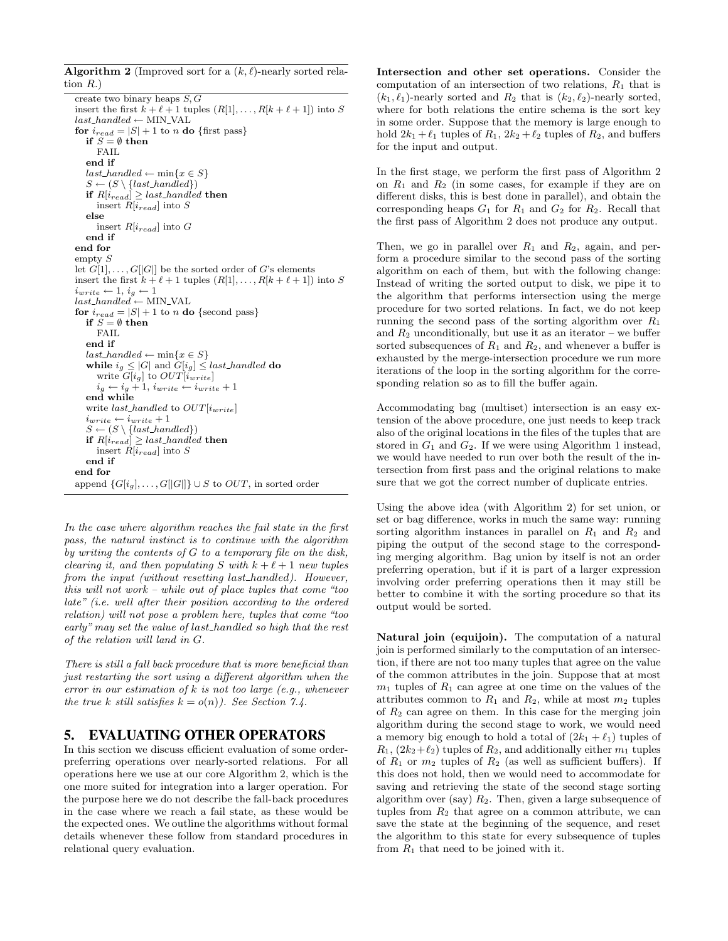Algorithm 2 (Improved sort for a  $(k, \ell)$ -nearly sorted relation R.) create two binary heaps  $S, G$ insert the first  $k + \ell + 1$  tuples  $(R[1], \ldots, R[k + \ell + 1])$  into S  $last\_handled \leftarrow \text{MIN\_VAL}$ for  $i_{read} = |S| + 1$  to n do {first pass} if  $S = \emptyset$  then FAIL end if  $last\_handled \leftarrow min\{x \in S\}$  $S \leftarrow (S \setminus \{last\_handled\})$ if  $R[i_{read}] \geq last\_handled$  then insert  $R[i_{read}]$  into S else insert $R[i_{read}]$  into  $G$ end if end for empty S let  $G[1], \ldots, G[|G|]$  be the sorted order of G's elements insert the first  $k + \ell + 1$  tuples  $(R[1], \ldots, R[k + \ell + 1])$  into S  $i_{write} \leftarrow 1, i_q \leftarrow 1$  $last\_handled \leftarrow MIN\_VAL$ for  $i_{read} = |S| + 1$  to n do {second pass} if  $S = \emptyset$  then FAIL end if  $last\_handled \leftarrow min\{x \in S\}$ while  $i_g \leq |G|$  and  $\tilde{G}[i_g] \leq$  *last\_handled* do write  $G[i_g]$  to  $OUT[i_{write}]$  $i_g \leftarrow i_g + 1, i_{write} \leftarrow i_{write} + 1$ end while write *last\_handled* to  $OUT[iwrite]$  $i_{write} \leftarrow i_{write} + 1$  $S \leftarrow (S \setminus \{last\_handled\})$ if  $R[i_{read}] \geq last\_handled$  then insert  $R[i_{read}]$  into S end if end for append  $\{G[i_g], \ldots, G[|G|]\} \cup S$  to  $OUT$ , in sorted order

In the case where algorithm reaches the fail state in the first pass, the natural instinct is to continue with the algorithm by writing the contents of  $G$  to a temporary file on the disk, clearing it, and then populating S with  $k + \ell + 1$  new tuples from the input (without resetting last handled). However, this will not work – while out of place tuples that come "too late" (i.e. well after their position according to the ordered relation) will not pose a problem here, tuples that come "too early" may set the value of last\_handled so high that the rest of the relation will land in G.

There is still a fall back procedure that is more beneficial than just restarting the sort using a different algorithm when the error in our estimation of  $k$  is not too large (e.g., whenever the true k still satisfies  $k = o(n)$ . See Section 7.4.

## 5. EVALUATING OTHER OPERATORS

In this section we discuss efficient evaluation of some orderpreferring operations over nearly-sorted relations. For all operations here we use at our core Algorithm 2, which is the one more suited for integration into a larger operation. For the purpose here we do not describe the fall-back procedures in the case where we reach a fail state, as these would be the expected ones. We outline the algorithms without formal details whenever these follow from standard procedures in relational query evaluation.

Intersection and other set operations. Consider the computation of an intersection of two relations,  $R_1$  that is  $(k_1, \ell_1)$ -nearly sorted and  $R_2$  that is  $(k_2, \ell_2)$ -nearly sorted, where for both relations the entire schema is the sort key in some order. Suppose that the memory is large enough to hold  $2k_1 + \ell_1$  tuples of  $R_1$ ,  $2k_2 + \ell_2$  tuples of  $R_2$ , and buffers for the input and output.

In the first stage, we perform the first pass of Algorithm 2 on  $R_1$  and  $R_2$  (in some cases, for example if they are on different disks, this is best done in parallel), and obtain the corresponding heaps  $G_1$  for  $R_1$  and  $G_2$  for  $R_2$ . Recall that the first pass of Algorithm 2 does not produce any output.

Then, we go in parallel over  $R_1$  and  $R_2$ , again, and perform a procedure similar to the second pass of the sorting algorithm on each of them, but with the following change: Instead of writing the sorted output to disk, we pipe it to the algorithm that performs intersection using the merge procedure for two sorted relations. In fact, we do not keep running the second pass of the sorting algorithm over  $R_1$ and  $R_2$  unconditionally, but use it as an iterator – we buffer sorted subsequences of  $R_1$  and  $R_2$ , and whenever a buffer is exhausted by the merge-intersection procedure we run more iterations of the loop in the sorting algorithm for the corresponding relation so as to fill the buffer again.

Accommodating bag (multiset) intersection is an easy extension of the above procedure, one just needs to keep track also of the original locations in the files of the tuples that are stored in  $G_1$  and  $G_2$ . If we were using Algorithm 1 instead, we would have needed to run over both the result of the intersection from first pass and the original relations to make sure that we got the correct number of duplicate entries.

Using the above idea (with Algorithm 2) for set union, or set or bag difference, works in much the same way: running sorting algorithm instances in parallel on  $R_1$  and  $R_2$  and piping the output of the second stage to the corresponding merging algorithm. Bag union by itself is not an order preferring operation, but if it is part of a larger expression involving order preferring operations then it may still be better to combine it with the sorting procedure so that its output would be sorted.

Natural join (equijoin). The computation of a natural join is performed similarly to the computation of an intersection, if there are not too many tuples that agree on the value of the common attributes in the join. Suppose that at most  $m_1$  tuples of  $R_1$  can agree at one time on the values of the attributes common to  $R_1$  and  $R_2$ , while at most  $m_2$  tuples of  $R_2$  can agree on them. In this case for the merging join algorithm during the second stage to work, we would need a memory big enough to hold a total of  $(2k_1 + \ell_1)$  tuples of  $R_1$ ,  $(2k_2+\ell_2)$  tuples of  $R_2$ , and additionally either  $m_1$  tuples of  $R_1$  or  $m_2$  tuples of  $R_2$  (as well as sufficient buffers). If this does not hold, then we would need to accommodate for saving and retrieving the state of the second stage sorting algorithm over (say)  $R_2$ . Then, given a large subsequence of tuples from  $R_2$  that agree on a common attribute, we can save the state at the beginning of the sequence, and reset the algorithm to this state for every subsequence of tuples from  $R_1$  that need to be joined with it.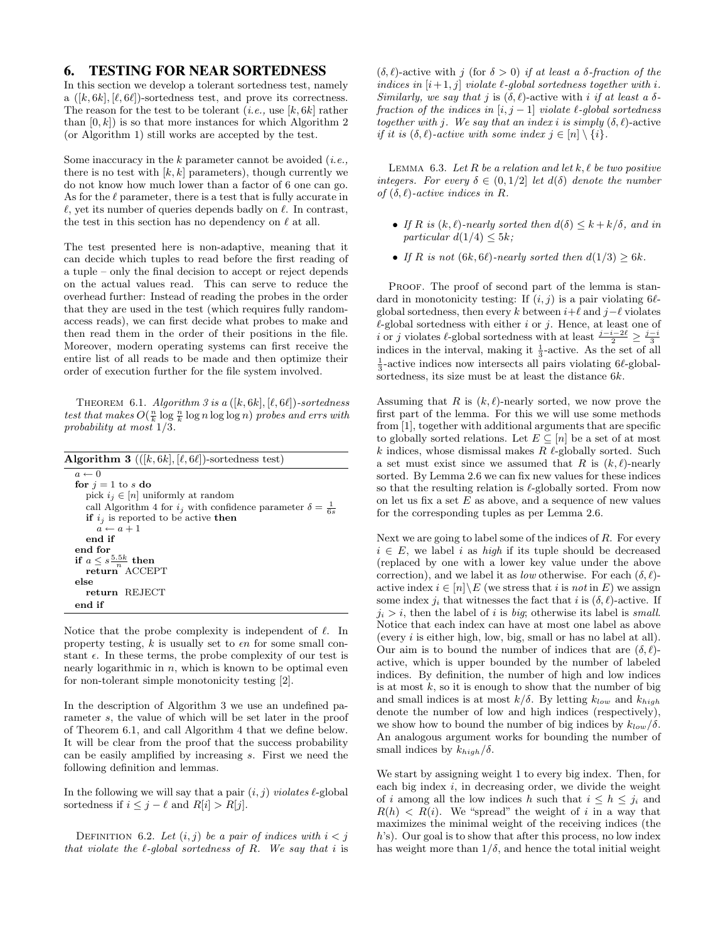### 6. TESTING FOR NEAR SORTEDNESS

In this section we develop a tolerant sortedness test, namely a  $([k, 6k], [\ell, 6\ell])$ -sortedness test, and prove its correctness. The reason for the test to be tolerant (*i.e.*, use  $[k, 6k]$  rather than  $[0, k]$  is so that more instances for which Algorithm 2 (or Algorithm 1) still works are accepted by the test.

Some inaccuracy in the  $k$  parameter cannot be avoided (*i.e.*, there is no test with  $[k, k]$  parameters), though currently we do not know how much lower than a factor of 6 one can go. As for the  $\ell$  parameter, there is a test that is fully accurate in  $\ell$ , yet its number of queries depends badly on  $\ell$ . In contrast, the test in this section has no dependency on  $\ell$  at all.

The test presented here is non-adaptive, meaning that it can decide which tuples to read before the first reading of a tuple – only the final decision to accept or reject depends on the actual values read. This can serve to reduce the overhead further: Instead of reading the probes in the order that they are used in the test (which requires fully randomaccess reads), we can first decide what probes to make and then read them in the order of their positions in the file. Moreover, modern operating systems can first receive the entire list of all reads to be made and then optimize their order of execution further for the file system involved.

THEOREM 6.1. Algorithm 3 is a  $([k, 6k], [\ell, 6\ell])$ -sortedness test that makes  $O(\frac{n}{k} \log \frac{n}{k} \log n \log \log n)$  probes and errs with probability at most 1/3.

| <b>Algorithm 3</b> (([k, 6k], [l, 6l])-sortedness test)                      |
|------------------------------------------------------------------------------|
| $a \leftarrow 0$                                                             |
| for $j = 1$ to s do                                                          |
| pick $i_j \in [n]$ uniformly at random                                       |
| call Algorithm 4 for $i_j$ with confidence parameter $\delta = \frac{1}{6s}$ |
| <b>if</b> $i_j$ is reported to be active <b>then</b>                         |
| $a \leftarrow a + 1$                                                         |
| end if                                                                       |
| end for                                                                      |
| if $a \leq s \frac{5.5k}{n}$ then                                            |
| return ACCEPT                                                                |
| else                                                                         |
| return REJECT                                                                |
| end if                                                                       |
|                                                                              |

Notice that the probe complexity is independent of  $\ell$ . In property testing, k is usually set to  $\epsilon n$  for some small constant  $\epsilon$ . In these terms, the probe complexity of our test is nearly logarithmic in  $n$ , which is known to be optimal even for non-tolerant simple monotonicity testing [2].

In the description of Algorithm 3 we use an undefined parameter s, the value of which will be set later in the proof of Theorem 6.1, and call Algorithm 4 that we define below. It will be clear from the proof that the success probability can be easily amplified by increasing s. First we need the following definition and lemmas.

In the following we will say that a pair  $(i, j)$  violates  $\ell$ -global sortedness if  $i \leq j - \ell$  and  $R[i] > R[j]$ .

DEFINITION 6.2. Let  $(i, j)$  be a pair of indices with  $i < j$ that violate the  $\ell$ -global sortedness of R. We say that i is  $(\delta, \ell)$ -active with j (for  $\delta > 0$ ) if at least a  $\delta$ -fraction of the indices in  $[i+1, j]$  violate  $\ell$ -global sortedness together with i. Similarly, we say that j is  $(\delta, \ell)$ -active with i if at least a  $\delta$ fraction of the indices in  $[i, j - 1]$  violate  $\ell$ -global sortedness together with j. We say that an index i is simply  $(\delta, \ell)$ -active if it is  $(\delta, \ell)$ -active with some index  $j \in [n] \setminus \{i\}.$ 

LEMMA 6.3. Let R be a relation and let  $k, \ell$  be two positive integers. For every  $\delta \in (0, 1/2]$  let  $d(\delta)$  denote the number of  $(\delta, \ell)$ -active indices in R.

- If R is  $(k, \ell)$ -nearly sorted then  $d(\delta) \leq k + k/\delta$ , and in particular  $d(1/4) \leq 5k$ ;
- If R is not  $(6k, 6\ell)$ -nearly sorted then  $d(1/3) \geq 6k$ .

PROOF. The proof of second part of the lemma is standard in monotonicity testing: If  $(i, j)$  is a pair violating 6 $\ell$ global sortedness, then every k between  $i+\ell$  and  $j-\ell$  violates  $\ell$ -global sortedness with either i or j. Hence, at least one of i or j violates  $\ell$ -global sortedness with at least  $\frac{j-i-2\ell}{2} \ge \frac{j-i}{3}$ indices in the interval, making it  $\frac{1}{3}$ -active. As the set of all  $\frac{1}{3}$ -active indices now intersects all pairs violating 6 $\ell$ -globalsortedness, its size must be at least the distance 6k.

Assuming that R is  $(k, \ell)$ -nearly sorted, we now prove the first part of the lemma. For this we will use some methods from [1], together with additional arguments that are specific to globally sorted relations. Let  $E \subseteq [n]$  be a set of at most  $k$  indices, whose dismissal makes  $R \ell$ -globally sorted. Such a set must exist since we assumed that R is  $(k, \ell)$ -nearly sorted. By Lemma 2.6 we can fix new values for these indices so that the resulting relation is  $\ell$ -globally sorted. From now on let us fix a set  $E$  as above, and a sequence of new values for the corresponding tuples as per Lemma 2.6.

Next we are going to label some of the indices of  $R$ . For every  $i \in E$ , we label i as high if its tuple should be decreased (replaced by one with a lower key value under the above correction), and we label it as *low* otherwise. For each  $(\delta, \ell)$ active index  $i \in [n] \backslash E$  (we stress that i is not in E) we assign some index  $j_i$  that witnesses the fact that i is  $(\delta, \ell)$ -active. If  $j_i > i$ , then the label of i is big; otherwise its label is small. Notice that each index can have at most one label as above (every i is either high, low, big, small or has no label at all). Our aim is to bound the number of indices that are  $(\delta, \ell)$ active, which is upper bounded by the number of labeled indices. By definition, the number of high and low indices is at most  $k$ , so it is enough to show that the number of big and small indices is at most  $k/\delta$ . By letting  $k_{low}$  and  $k_{high}$ denote the number of low and high indices (respectively), we show how to bound the number of big indices by  $k_{low}/\delta$ . An analogous argument works for bounding the number of small indices by  $k_{high}/\delta$ .

We start by assigning weight 1 to every big index. Then, for each big index  $i$ , in decreasing order, we divide the weight of i among all the low indices h such that  $i \leq h \leq j_i$  and  $R(h) < R(i)$ . We "spread" the weight of i in a way that maximizes the minimal weight of the receiving indices (the h's). Our goal is to show that after this process, no low index has weight more than  $1/\delta$ , and hence the total initial weight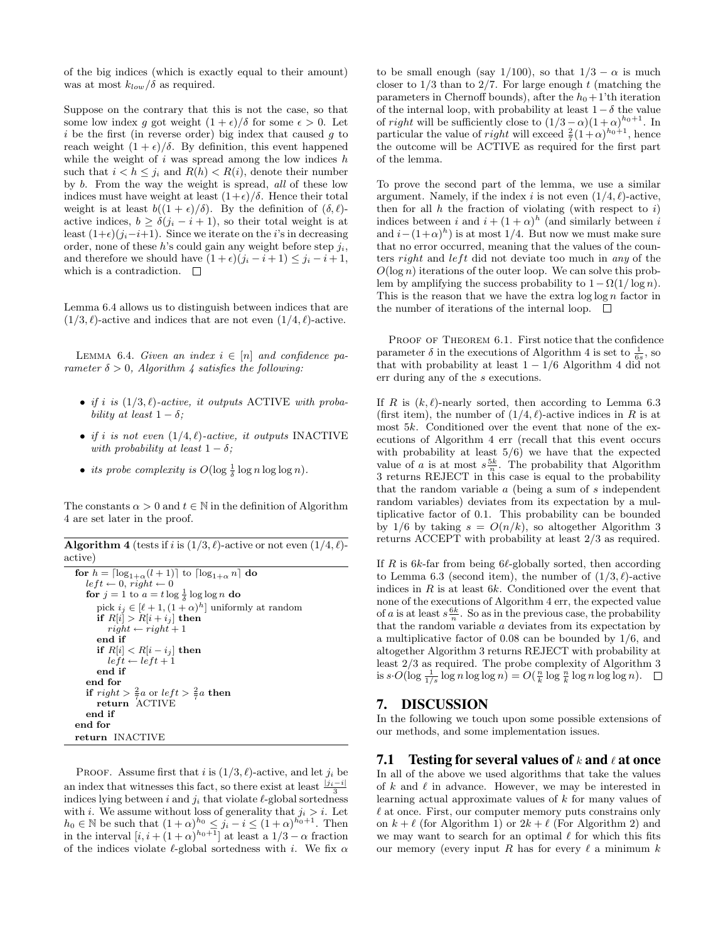of the big indices (which is exactly equal to their amount) was at most  $k_{low}/\delta$  as required.

Suppose on the contrary that this is not the case, so that some low index q got weight  $(1 + \epsilon)/\delta$  for some  $\epsilon > 0$ . Let i be the first (in reverse order) big index that caused  $q$  to reach weight  $(1 + \epsilon)/\delta$ . By definition, this event happened while the weight of  $i$  was spread among the low indices  $h$ such that  $i < h \leq j_i$  and  $R(h) < R(i)$ , denote their number by b. From the way the weight is spread, all of these low indices must have weight at least  $(1+\epsilon)/\delta$ . Hence their total weight is at least  $b((1 + \epsilon)/\delta)$ . By the definition of  $(\delta, \ell)$ active indices,  $b \geq \delta(j_i - i + 1)$ , so their total weight is at least  $(1+\epsilon)(j_i-i+1)$ . Since we iterate on the *i*'s in decreasing order, none of these  $h$ 's could gain any weight before step  $j_i$ , and therefore we should have  $(1 + \epsilon)(j_i - i + 1) \leq j_i - i + 1$ , which is a contradiction.  $\Box$ 

Lemma 6.4 allows us to distinguish between indices that are  $(1/3, \ell)$ -active and indices that are not even  $(1/4, \ell)$ -active.

LEMMA 6.4. Given an index  $i \in [n]$  and confidence parameter  $\delta > 0$ , Algorithm 4 satisfies the following:

- if i is  $(1/3, \ell)$ -active, it outputs ACTIVE with probability at least  $1 - \delta$ ;
- if i is not even  $(1/4, \ell)$ -active, it outputs INACTIVE with probability at least  $1 - \delta$ ;
- its probe complexity is  $O(\log \frac{1}{\delta} \log n \log \log n)$ .

The constants  $\alpha > 0$  and  $t \in \mathbb{N}$  in the definition of Algorithm 4 are set later in the proof.

**Algorithm 4** (tests if i is  $(1/3, \ell)$ -active or not even  $(1/4, \ell)$ active)

| for $h = \lfloor \log_{1+\alpha}(l+1) \rfloor$ to $\lfloor \log_{1+\alpha} n \rfloor$ do |
|------------------------------------------------------------------------------------------|
| $left \leftarrow 0$ , right $\leftarrow 0$                                               |
| for $j = 1$ to $a = t \log \frac{1}{\lambda} \log \log n$ do                             |
| pick $i_j \in [\ell+1, (1+\alpha)^h]$ uniformly at random                                |
| if $R[i] > R[i + i_j]$ then                                                              |
| $right \leftarrow right + 1$                                                             |
| end if                                                                                   |
| if $R[i] < R[i-i_j]$ then                                                                |
| $left \leftarrow left + 1$                                                               |
| end if                                                                                   |
| end for                                                                                  |
| if right $> \frac{2}{7}a$ or left $> \frac{2}{7}a$ then                                  |
| return ACTIVE                                                                            |
| end if                                                                                   |
| end for                                                                                  |
| return INACTIVE                                                                          |

PROOF. Assume first that i is  $(1/3, \ell)$ -active, and let  $j_i$  be an index that witnesses this fact, so there exist at least  $\frac{|j_i - i|}{3}$ indices lying between i and  $j_i$  that violate  $\ell$ -global sortedness with i. We assume without loss of generality that  $j_i > i$ . Let  $h_0 \in \mathbb{N}$  be such that  $(1+\alpha)^{h_0} \leq j_i - i \leq (1+\alpha)^{h_0+1}$ . Then in the interval  $[i, i + (1+\alpha)^{h_0+1}]$  at least a  $1/3 - \alpha$  fraction of the indices violate  $\ell$ -global sortedness with i. We fix  $\alpha$ 

to be small enough (say 1/100), so that  $1/3 - \alpha$  is much closer to  $1/3$  than to  $2/7$ . For large enough t (matching the parameters in Chernoff bounds), after the  $h_0+1$ 'th iteration of the internal loop, with probability at least  $1 - \delta$  the value of right will be sufficiently close to  $(1/3-\alpha)(1+\alpha)^{h_0+1}$ . In particular the value of right will exceed  $\frac{2}{7}(1+\alpha)^{h_0+1}$ , hence the outcome will be ACTIVE as required for the first part of the lemma.

To prove the second part of the lemma, we use a similar argument. Namely, if the index i is not even  $(1/4, \ell)$ -active, then for all  $h$  the fraction of violating (with respect to  $i$ ) indices between i and  $i + (1 + \alpha)^h$  (and similarly between i and  $i-(1+\alpha)^h$  is at most 1/4. But now we must make sure that no error occurred, meaning that the values of the counters *right* and *left* did not deviate too much in *any* of the  $O(\log n)$  iterations of the outer loop. We can solve this problem by amplifying the success probability to  $1 - \Omega(1/\log n)$ . This is the reason that we have the extra  $\log \log n$  factor in the number of iterations of the internal loop.  $\square$ 

PROOF OF THEOREM 6.1. First notice that the confidence parameter  $\delta$  in the executions of Algorithm 4 is set to  $\frac{1}{6s}$ , so that with probability at least  $1 - 1/6$  Algorithm 4 did not err during any of the s executions.

If R is  $(k, \ell)$ -nearly sorted, then according to Lemma 6.3 (first item), the number of  $(1/4, \ell)$ -active indices in R is at most  $5k$ . Conditioned over the event that none of the executions of Algorithm 4 err (recall that this event occurs with probability at least  $5/6$ ) we have that the expected value of a is at most  $s \frac{5k}{n}$ . The probability that Algorithm 3 returns REJECT in this case is equal to the probability that the random variable  $a$  (being a sum of  $s$  independent random variables) deviates from its expectation by a multiplicative factor of 0.1. This probability can be bounded by 1/6 by taking  $s = O(n/k)$ , so altogether Algorithm 3 returns ACCEPT with probability at least 2/3 as required.

If R is  $6k$ -far from being  $6\ell$ -globally sorted, then according to Lemma 6.3 (second item), the number of  $(1/3, \ell)$ -active indices in  $R$  is at least  $6k$ . Conditioned over the event that none of the executions of Algorithm 4 err, the expected value of a is at least  $s \frac{6k}{n}$ . So as in the previous case, the probability that the random variable  $a$  deviates from its expectation by a multiplicative factor of 0.08 can be bounded by 1/6, and altogether Algorithm 3 returns REJECT with probability at least 2/3 as required. The probe complexity of Algorithm 3 is  $s \cdot O(\log \frac{1}{1/s} \log n \log \log n) = O(\frac{n}{k} \log \frac{n}{k} \log n \log \log n).$ 

#### 7. DISCUSSION

In the following we touch upon some possible extensions of our methods, and some implementation issues.

#### 7.1 Testing for several values of k and  $\ell$  at once

In all of the above we used algorithms that take the values of k and  $\ell$  in advance. However, we may be interested in learning actual approximate values of k for many values of  $\ell$  at once. First, our computer memory puts constrains only on  $k + \ell$  (for Algorithm 1) or  $2k + \ell$  (For Algorithm 2) and we may want to search for an optimal  $\ell$  for which this fits our memory (every input R has for every  $\ell$  a minimum k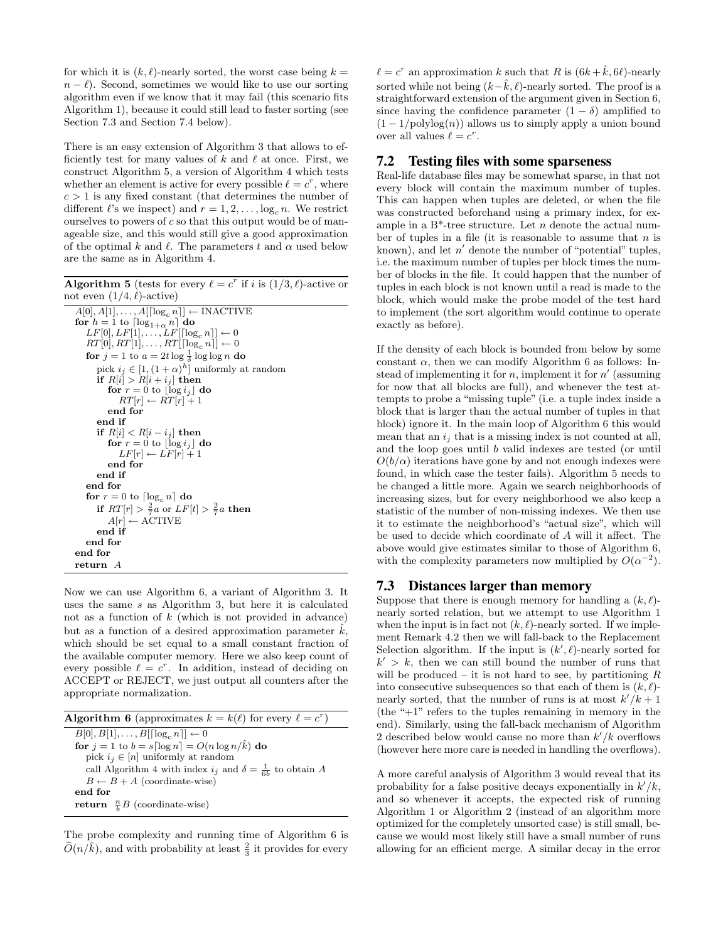for which it is  $(k, \ell)$ -nearly sorted, the worst case being  $k =$  $n - \ell$ ). Second, sometimes we would like to use our sorting algorithm even if we know that it may fail (this scenario fits Algorithm 1), because it could still lead to faster sorting (see Section 7.3 and Section 7.4 below).

There is an easy extension of Algorithm 3 that allows to efficiently test for many values of  $k$  and  $\ell$  at once. First, we construct Algorithm 5, a version of Algorithm 4 which tests whether an element is active for every possible  $\ell = c^r$ , where  $c > 1$  is any fixed constant (that determines the number of different  $\ell$ 's we inspect) and  $r = 1, 2, \ldots, \log_c n$ . We restrict ourselves to powers of  $c$  so that this output would be of manageable size, and this would still give a good approximation of the optimal k and  $\ell$ . The parameters t and  $\alpha$  used below are the same as in Algorithm 4.

**Algorithm 5** (tests for every  $\ell = c^r$  if i is  $(1/3, \ell)$ -active or not even  $(1/4, \ell)$ -active)

```
A[0], A[1], \ldots, A[\lceil \log_c n \rceil] \leftarrow \text{INACTIVE}for h = 1 to \lceil \log_{1+\alpha} n \rceil do
    LF[0], LF[1], \ldots, LF[[\log_c n]] \leftarrow 0RT[0], RT[1], \ldots, RT[\lceil \log_c n \rceil] \leftarrow 0for j = 1 to a = 2t \log \frac{1}{\delta} \log \log n do
       pick i_j \in [1, (1+\alpha)^h] uniformly at random
       if R[i] > R[i + i_j] then
          for r = 0 to \lfloor \log i_j \rfloor do
              RT[r] \leftarrow RT[r] + 1end for
       end if
       if R[i] < R[i - i_j] then
          for r = 0 to \lfloor \log i_j \rfloor do
              LF[r] \leftarrow LF[r] + 1end for
       end if
   end for
   for r = 0 to \lceil \log_c n \rceil do
       if RT[r] > \frac{2}{7}a or LF[t] > \frac{2}{7}a then
          A[r] \leftarrow ACTIVE
       end if
   end for
end for
return A
```
Now we can use Algorithm 6, a variant of Algorithm 3. It uses the same s as Algorithm 3, but here it is calculated not as a function of  $k$  (which is not provided in advance) but as a function of a desired approximation parameter  $\hat{k}$ , which should be set equal to a small constant fraction of the available computer memory. Here we also keep count of every possible  $\ell = c^r$ . In addition, instead of deciding on ACCEPT or REJECT, we just output all counters after the appropriate normalization.

| <b>Algorithm 6</b> (approximates $k = k(\ell)$ for every $\ell = c^r$ )   |  |
|---------------------------------------------------------------------------|--|
| $B[0], B[1], \ldots, B[\lceil \log_c n \rceil] \leftarrow 0$              |  |
| for $j = 1$ to $b = s \lceil \log n \rceil = O(n \log n / \hat{k})$ do    |  |
| pick $i_j \in [n]$ uniformly at random                                    |  |
| call Algorithm 4 with index $i_j$ and $\delta = \frac{1}{6b}$ to obtain A |  |
| $B \leftarrow B + A$ (coordinate-wise)                                    |  |
| end for                                                                   |  |
| <b>return</b> $\frac{n}{b}B$ (coordinate-wise)                            |  |

The probe complexity and running time of Algorithm 6 is  $\widetilde{O}(n/\hat{k})$ , and with probability at least  $\frac{2}{3}$  it provides for every

 $\ell = c^r$  an approximation k such that R is  $(6k + \hat{k}, 6\ell)$ -nearly sorted while not being  $(k-\hat{k}, \ell)$ -nearly sorted. The proof is a straightforward extension of the argument given in Section 6, since having the confidence parameter  $(1 - \delta)$  amplified to  $(1 - 1/\text{polylog}(n))$  allows us to simply apply a union bound over all values  $\ell = c^r$ .

#### 7.2 Testing files with some sparseness

Real-life database files may be somewhat sparse, in that not every block will contain the maximum number of tuples. This can happen when tuples are deleted, or when the file was constructed beforehand using a primary index, for example in a  $B^*$ -tree structure. Let n denote the actual number of tuples in a file (it is reasonable to assume that  $n$  is known), and let  $n'$  denote the number of "potential" tuples, i.e. the maximum number of tuples per block times the number of blocks in the file. It could happen that the number of tuples in each block is not known until a read is made to the block, which would make the probe model of the test hard to implement (the sort algorithm would continue to operate exactly as before).

If the density of each block is bounded from below by some constant  $\alpha$ , then we can modify Algorithm 6 as follows: Instead of implementing it for  $n$ , implement it for  $n'$  (assuming for now that all blocks are full), and whenever the test attempts to probe a "missing tuple" (i.e. a tuple index inside a block that is larger than the actual number of tuples in that block) ignore it. In the main loop of Algorithm 6 this would mean that an  $i_j$  that is a missing index is not counted at all, and the loop goes until b valid indexes are tested (or until  $O(b/\alpha)$  iterations have gone by and not enough indexes were found, in which case the tester fails). Algorithm 5 needs to be changed a little more. Again we search neighborhoods of increasing sizes, but for every neighborhood we also keep a statistic of the number of non-missing indexes. We then use it to estimate the neighborhood's "actual size", which will be used to decide which coordinate of A will it affect. The above would give estimates similar to those of Algorithm 6, with the complexity parameters now multiplied by  $O(\alpha^{-2})$ .

#### 7.3 Distances larger than memory

Suppose that there is enough memory for handling a  $(k, \ell)$ nearly sorted relation, but we attempt to use Algorithm 1 when the input is in fact not  $(k, \ell)$ -nearly sorted. If we implement Remark 4.2 then we will fall-back to the Replacement Selection algorithm. If the input is  $(k', \ell)$ -nearly sorted for  $k' > k$ , then we can still bound the number of runs that will be produced – it is not hard to see, by partitioning  $R$ into consecutive subsequences so that each of them is  $(k, \ell)$ nearly sorted, that the number of runs is at most  $k'/k + 1$ (the "+1" refers to the tuples remaining in memory in the end). Similarly, using the fall-back mechanism of Algorithm 2 described below would cause no more than  $k'/k$  overflows (however here more care is needed in handling the overflows).

A more careful analysis of Algorithm 3 would reveal that its probability for a false positive decays exponentially in  $k'/k$ , and so whenever it accepts, the expected risk of running Algorithm 1 or Algorithm 2 (instead of an algorithm more optimized for the completely unsorted case) is still small, because we would most likely still have a small number of runs allowing for an efficient merge. A similar decay in the error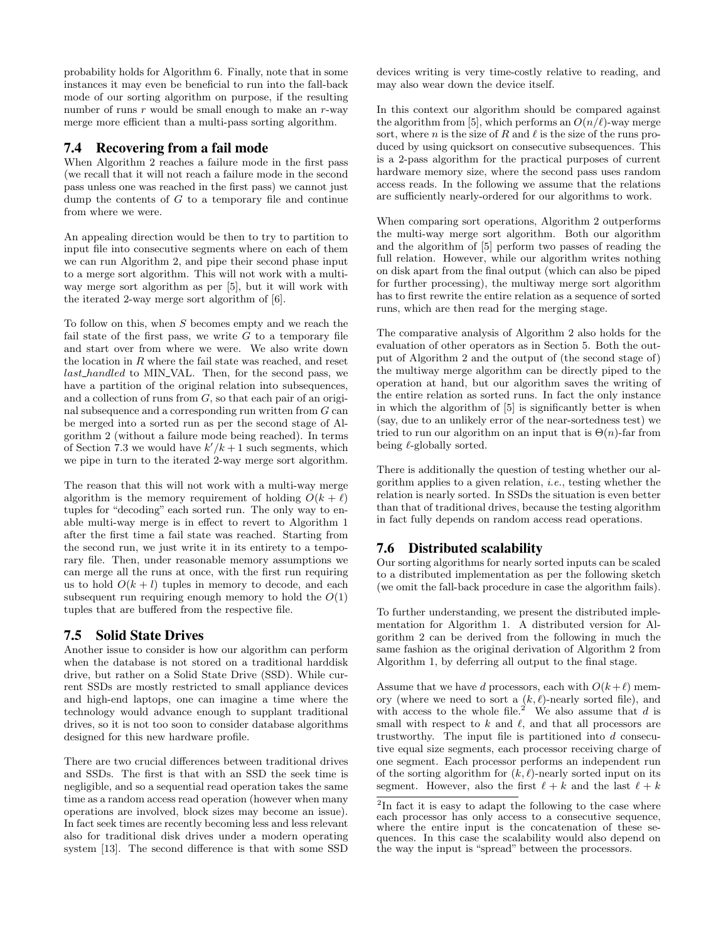probability holds for Algorithm 6. Finally, note that in some instances it may even be beneficial to run into the fall-back mode of our sorting algorithm on purpose, if the resulting number of runs  $r$  would be small enough to make an  $r$ -way merge more efficient than a multi-pass sorting algorithm.

# 7.4 Recovering from a fail mode

When Algorithm 2 reaches a failure mode in the first pass (we recall that it will not reach a failure mode in the second pass unless one was reached in the first pass) we cannot just dump the contents of  $G$  to a temporary file and continue from where we were.

An appealing direction would be then to try to partition to input file into consecutive segments where on each of them we can run Algorithm 2, and pipe their second phase input to a merge sort algorithm. This will not work with a multiway merge sort algorithm as per [5], but it will work with the iterated 2-way merge sort algorithm of [6].

To follow on this, when S becomes empty and we reach the fail state of the first pass, we write  $G$  to a temporary file and start over from where we were. We also write down the location in  $R$  where the fail state was reached, and reset last\_handled to MIN\_VAL. Then, for the second pass, we have a partition of the original relation into subsequences, and a collection of runs from  $G$ , so that each pair of an original subsequence and a corresponding run written from G can be merged into a sorted run as per the second stage of Algorithm 2 (without a failure mode being reached). In terms of Section 7.3 we would have  $k'/k+1$  such segments, which we pipe in turn to the iterated 2-way merge sort algorithm.

The reason that this will not work with a multi-way merge algorithm is the memory requirement of holding  $O(k + \ell)$ tuples for "decoding" each sorted run. The only way to enable multi-way merge is in effect to revert to Algorithm 1 after the first time a fail state was reached. Starting from the second run, we just write it in its entirety to a temporary file. Then, under reasonable memory assumptions we can merge all the runs at once, with the first run requiring us to hold  $O(k+l)$  tuples in memory to decode, and each subsequent run requiring enough memory to hold the  $O(1)$ tuples that are buffered from the respective file.

# 7.5 Solid State Drives

Another issue to consider is how our algorithm can perform when the database is not stored on a traditional harddisk drive, but rather on a Solid State Drive (SSD). While current SSDs are mostly restricted to small appliance devices and high-end laptops, one can imagine a time where the technology would advance enough to supplant traditional drives, so it is not too soon to consider database algorithms designed for this new hardware profile.

There are two crucial differences between traditional drives and SSDs. The first is that with an SSD the seek time is negligible, and so a sequential read operation takes the same time as a random access read operation (however when many operations are involved, block sizes may become an issue). In fact seek times are recently becoming less and less relevant also for traditional disk drives under a modern operating system [13]. The second difference is that with some SSD

devices writing is very time-costly relative to reading, and may also wear down the device itself.

In this context our algorithm should be compared against the algorithm from [5], which performs an  $O(n/\ell)$ -way merge sort, where n is the size of R and  $\ell$  is the size of the runs produced by using quicksort on consecutive subsequences. This is a 2-pass algorithm for the practical purposes of current hardware memory size, where the second pass uses random access reads. In the following we assume that the relations are sufficiently nearly-ordered for our algorithms to work.

When comparing sort operations, Algorithm 2 outperforms the multi-way merge sort algorithm. Both our algorithm and the algorithm of [5] perform two passes of reading the full relation. However, while our algorithm writes nothing on disk apart from the final output (which can also be piped for further processing), the multiway merge sort algorithm has to first rewrite the entire relation as a sequence of sorted runs, which are then read for the merging stage.

The comparative analysis of Algorithm 2 also holds for the evaluation of other operators as in Section 5. Both the output of Algorithm 2 and the output of (the second stage of) the multiway merge algorithm can be directly piped to the operation at hand, but our algorithm saves the writing of the entire relation as sorted runs. In fact the only instance in which the algorithm of [5] is significantly better is when (say, due to an unlikely error of the near-sortedness test) we tried to run our algorithm on an input that is  $\Theta(n)$ -far from being  $\ell$ -globally sorted.

There is additionally the question of testing whether our algorithm applies to a given relation, *i.e.*, testing whether the relation is nearly sorted. In SSDs the situation is even better than that of traditional drives, because the testing algorithm in fact fully depends on random access read operations.

# 7.6 Distributed scalability

Our sorting algorithms for nearly sorted inputs can be scaled to a distributed implementation as per the following sketch (we omit the fall-back procedure in case the algorithm fails).

To further understanding, we present the distributed implementation for Algorithm 1. A distributed version for Algorithm 2 can be derived from the following in much the same fashion as the original derivation of Algorithm 2 from Algorithm 1, by deferring all output to the final stage.

Assume that we have d processors, each with  $O(k+\ell)$  memory (where we need to sort a  $(k, \ell)$ -nearly sorted file), and with access to the whole file.<sup>2</sup> We also assume that d is small with respect to  $k$  and  $\ell$ , and that all processors are trustworthy. The input file is partitioned into d consecutive equal size segments, each processor receiving charge of one segment. Each processor performs an independent run of the sorting algorithm for  $(k, \ell)$ -nearly sorted input on its segment. However, also the first  $\ell + k$  and the last  $\ell + k$ 

<sup>&</sup>lt;sup>2</sup>In fact it is easy to adapt the following to the case where each processor has only access to a consecutive sequence, where the entire input is the concatenation of these sequences. In this case the scalability would also depend on the way the input is "spread" between the processors.